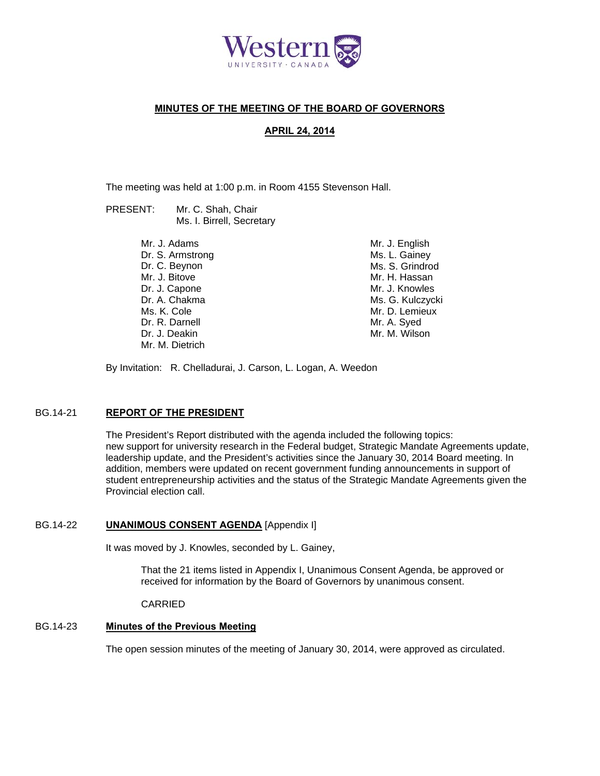

## **MINUTES OF THE MEETING OF THE BOARD OF GOVERNORS**

## **APRIL 24, 2014**

The meeting was held at 1:00 p.m. in Room 4155 Stevenson Hall.

| PRESENT: | Mr. C. Shah, Chair        |
|----------|---------------------------|
|          | Ms. I. Birrell, Secretary |

Mr. J. Adams Dr. S. Armstrong Dr. C. Beynon Mr. J. Bitove Dr. J. Capone Dr. A. Chakma Ms. K. Cole Dr. R. Darnell Dr. J. Deakin Mr. M. Dietrich

Mr. J. English Ms. L. Gainey Ms. S. Grindrod Mr. H. Hassan Mr. J. Knowles Ms. G. Kulczycki Mr. D. Lemieux Mr. A. Syed Mr. M. Wilson

By Invitation: R. Chelladurai, J. Carson, L. Logan, A. Weedon

## BG.14-21 **REPORT OF THE PRESIDENT**

The President's Report distributed with the agenda included the following topics: new support for university research in the Federal budget, Strategic Mandate Agreements update, leadership update, and the President's activities since the January 30, 2014 Board meeting. In addition, members were updated on recent government funding announcements in support of student entrepreneurship activities and the status of the Strategic Mandate Agreements given the Provincial election call.

## BG.14-22 **UNANIMOUS CONSENT AGENDA** [Appendix I]

It was moved by J. Knowles, seconded by L. Gainey,

That the 21 items listed in Appendix I, Unanimous Consent Agenda, be approved or received for information by the Board of Governors by unanimous consent.

CARRIED

### BG.14-23 **Minutes of the Previous Meeting**

The open session minutes of the meeting of January 30, 2014, were approved as circulated.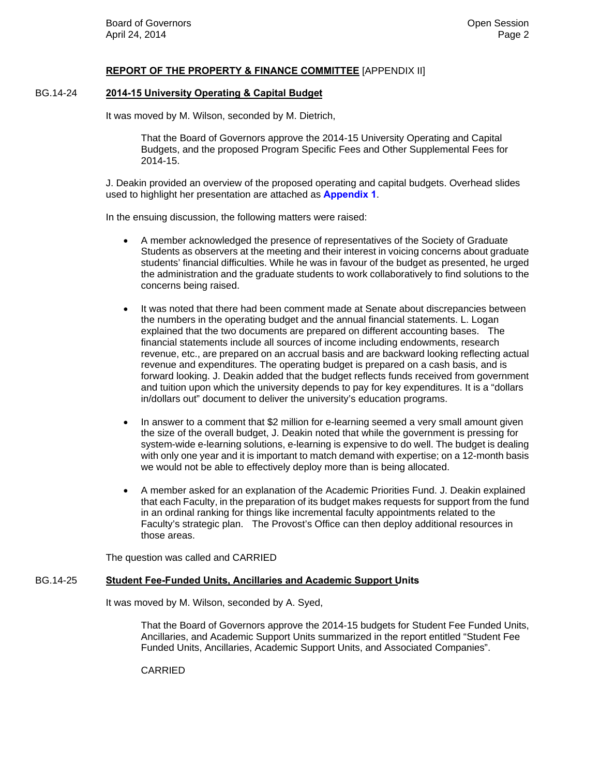## **REPORT OF THE PROPERTY & FINANCE COMMITTEE** [APPENDIX II]

## BG.14-24 **2014-15 University Operating & Capital Budget**

It was moved by M. Wilson, seconded by M. Dietrich,

That the Board of Governors approve the 2014-15 University Operating and Capital Budgets, and the proposed Program Specific Fees and Other Supplemental Fees for 2014-15.

J. Deakin provided an overview of the proposed operating and capital budgets. Overhead slides used to highlight her presentation are attached as **[Appendix 1](#page-6-0)**.

In the ensuing discussion, the following matters were raised:

- A member acknowledged the presence of representatives of the Society of Graduate Students as observers at the meeting and their interest in voicing concerns about graduate students' financial difficulties. While he was in favour of the budget as presented, he urged the administration and the graduate students to work collaboratively to find solutions to the concerns being raised.
- It was noted that there had been comment made at Senate about discrepancies between the numbers in the operating budget and the annual financial statements. L. Logan explained that the two documents are prepared on different accounting bases. The financial statements include all sources of income including endowments, research revenue, etc., are prepared on an accrual basis and are backward looking reflecting actual revenue and expenditures. The operating budget is prepared on a cash basis, and is forward looking. J. Deakin added that the budget reflects funds received from government and tuition upon which the university depends to pay for key expenditures. It is a "dollars in/dollars out" document to deliver the university's education programs.
- In answer to a comment that \$2 million for e-learning seemed a very small amount given the size of the overall budget, J. Deakin noted that while the government is pressing for system-wide e-learning solutions, e-learning is expensive to do well. The budget is dealing with only one year and it is important to match demand with expertise; on a 12-month basis we would not be able to effectively deploy more than is being allocated.
- A member asked for an explanation of the Academic Priorities Fund. J. Deakin explained that each Faculty, in the preparation of its budget makes requests for support from the fund in an ordinal ranking for things like incremental faculty appointments related to the Faculty's strategic plan. The Provost's Office can then deploy additional resources in those areas.

The question was called and CARRIED

### BG.14-25 **Student Fee-Funded Units, Ancillaries and Academic Support Units**

It was moved by M. Wilson, seconded by A. Syed,

That the Board of Governors approve the 2014-15 budgets for Student Fee Funded Units, Ancillaries, and Academic Support Units summarized in the report entitled "Student Fee Funded Units, Ancillaries, Academic Support Units, and Associated Companies".

CARRIED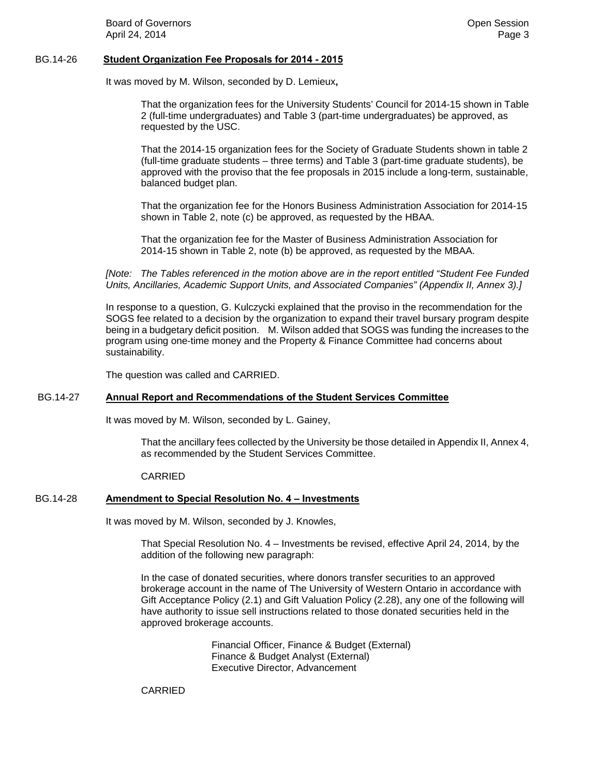**Board of Governors Community Board of Governors Community Community Community Community Community Community Community Community Community Community Community Community Community Community** April 24, 2014 Page 3

### BG.14-26 **Student Organization Fee Proposals for 2014 - 2015**

It was moved by M. Wilson, seconded by D. Lemieux**,** 

That the organization fees for the University Students' Council for 2014-15 shown in Table 2 (full-time undergraduates) and Table 3 (part-time undergraduates) be approved, as requested by the USC.

That the 2014-15 organization fees for the Society of Graduate Students shown in table 2 (full-time graduate students – three terms) and Table 3 (part-time graduate students), be approved with the proviso that the fee proposals in 2015 include a long-term, sustainable, balanced budget plan.

That the organization fee for the Honors Business Administration Association for 2014-15 shown in Table 2, note (c) be approved, as requested by the HBAA.

That the organization fee for the Master of Business Administration Association for 2014-15 shown in Table 2, note (b) be approved, as requested by the MBAA.

*[Note: The Tables referenced in the motion above are in the report entitled "Student Fee Funded Units, Ancillaries, Academic Support Units, and Associated Companies" (Appendix II, Annex 3).]* 

In response to a question, G. Kulczycki explained that the proviso in the recommendation for the SOGS fee related to a decision by the organization to expand their travel bursary program despite being in a budgetary deficit position. M. Wilson added that SOGS was funding the increases to the program using one-time money and the Property & Finance Committee had concerns about sustainability.

The question was called and CARRIED.

## BG.14-27 **Annual Report and Recommendations of the Student Services Committee**

It was moved by M. Wilson, seconded by L. Gainey,

That the ancillary fees collected by the University be those detailed in Appendix II, Annex 4, as recommended by the Student Services Committee.

CARRIED

## BG.14-28 **Amendment to Special Resolution No. 4 – Investments**

It was moved by M. Wilson, seconded by J. Knowles,

That Special Resolution No. 4 – Investments be revised, effective April 24, 2014, by the addition of the following new paragraph:

In the case of donated securities, where donors transfer securities to an approved brokerage account in the name of The University of Western Ontario in accordance with Gift Acceptance Policy (2.1) and Gift Valuation Policy (2.28), any one of the following will have authority to issue sell instructions related to those donated securities held in the approved brokerage accounts.

> Financial Officer, Finance & Budget (External) Finance & Budget Analyst (External) Executive Director, Advancement

CARRIED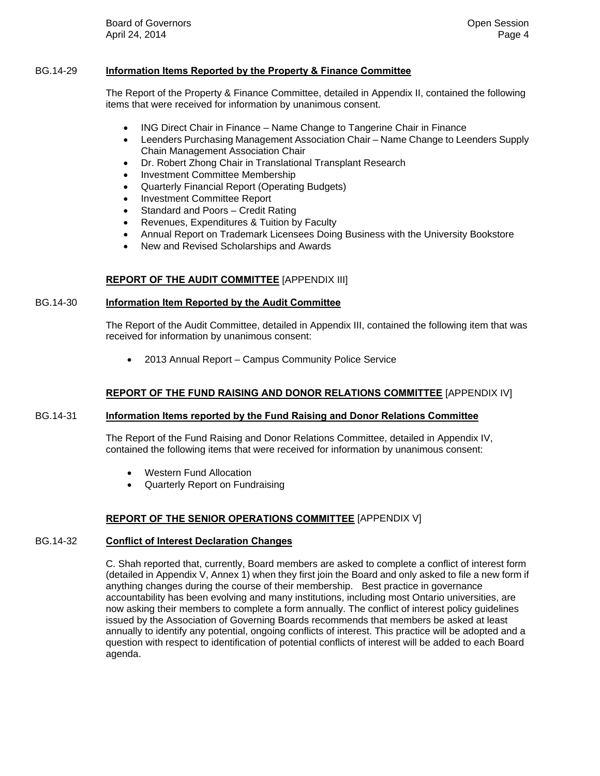## BG.14-29 **Information Items Reported by the Property & Finance Committee**

The Report of the Property & Finance Committee, detailed in Appendix II, contained the following items that were received for information by unanimous consent.

- ING Direct Chair in Finance Name Change to Tangerine Chair in Finance
- Leenders Purchasing Management Association Chair Name Change to Leenders Supply Chain Management Association Chair
- Dr. Robert Zhong Chair in Translational Transplant Research
- Investment Committee Membership
- Quarterly Financial Report (Operating Budgets)
- Investment Committee Report
- Standard and Poors Credit Rating
- Revenues, Expenditures & Tuition by Faculty
- Annual Report on Trademark Licensees Doing Business with the University Bookstore
- New and Revised Scholarships and Awards

## **REPORT OF THE AUDIT COMMITTEE** [APPENDIX III]

## BG.14-30 **Information Item Reported by the Audit Committee**

The Report of the Audit Committee, detailed in Appendix III, contained the following item that was received for information by unanimous consent:

2013 Annual Report – Campus Community Police Service

## **REPORT OF THE FUND RAISING AND DONOR RELATIONS COMMITTEE** [APPENDIX IV]

## BG.14-31 **Information Items reported by the Fund Raising and Donor Relations Committee**

The Report of the Fund Raising and Donor Relations Committee, detailed in Appendix IV, contained the following items that were received for information by unanimous consent:

- Western Fund Allocation
- Quarterly Report on Fundraising

## **REPORT OF THE SENIOR OPERATIONS COMMITTEE** [APPENDIX V]

## BG.14-32 **Conflict of Interest Declaration Changes**

C. Shah reported that, currently, Board members are asked to complete a conflict of interest form (detailed in Appendix V, Annex 1) when they first join the Board and only asked to file a new form if anything changes during the course of their membership. Best practice in governance accountability has been evolving and many institutions, including most Ontario universities, are now asking their members to complete a form annually. The conflict of interest policy guidelines issued by the Association of Governing Boards recommends that members be asked at least annually to identify any potential, ongoing conflicts of interest. This practice will be adopted and a question with respect to identification of potential conflicts of interest will be added to each Board agenda.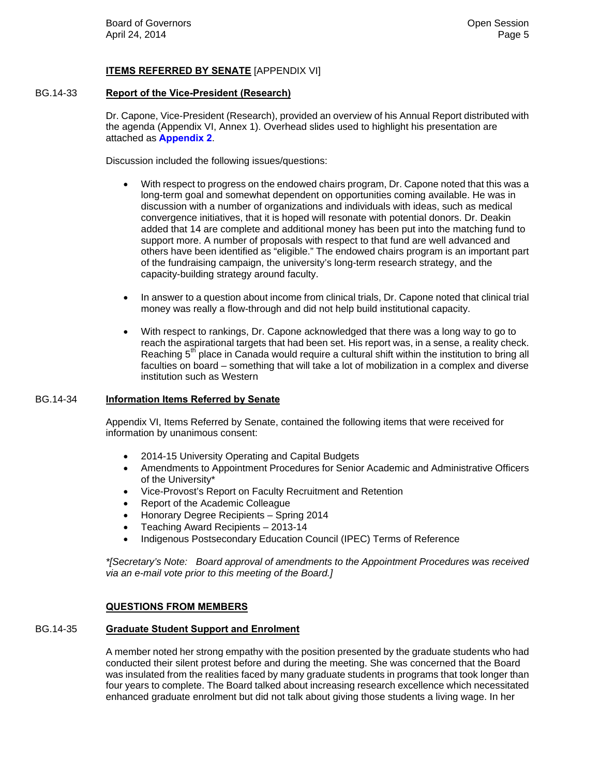## **ITEMS REFERRED BY SENATE** [APPENDIX VI]

## BG.14-33 **Report of the Vice-President (Research)**

Dr. Capone, Vice-President (Research), provided an overview of his Annual Report distributed with the agenda (Appendix VI, Annex 1). Overhead slides used to highlight his presentation are attached as **[Appendix 2](#page-12-0)**.

Discussion included the following issues/questions:

- With respect to progress on the endowed chairs program, Dr. Capone noted that this was a long-term goal and somewhat dependent on opportunities coming available. He was in discussion with a number of organizations and individuals with ideas, such as medical convergence initiatives, that it is hoped will resonate with potential donors. Dr. Deakin added that 14 are complete and additional money has been put into the matching fund to support more. A number of proposals with respect to that fund are well advanced and others have been identified as "eligible." The endowed chairs program is an important part of the fundraising campaign, the university's long-term research strategy, and the capacity-building strategy around faculty.
- In answer to a question about income from clinical trials, Dr. Capone noted that clinical trial money was really a flow-through and did not help build institutional capacity.
- With respect to rankings, Dr. Capone acknowledged that there was a long way to go to reach the aspirational targets that had been set. His report was, in a sense, a reality check. Reaching  $5<sup>th</sup>$  place in Canada would require a cultural shift within the institution to bring all faculties on board – something that will take a lot of mobilization in a complex and diverse institution such as Western

## BG.14-34 **Information Items Referred by Senate**

Appendix VI, Items Referred by Senate, contained the following items that were received for information by unanimous consent:

- 2014-15 University Operating and Capital Budgets
- Amendments to Appointment Procedures for Senior Academic and Administrative Officers of the University\*
- Vice-Provost's Report on Faculty Recruitment and Retention
- Report of the Academic Colleague
- Honorary Degree Recipients Spring 2014
- Teaching Award Recipients 2013-14
- Indigenous Postsecondary Education Council (IPEC) Terms of Reference

*\*[Secretary's Note: Board approval of amendments to the Appointment Procedures was received via an e-mail vote prior to this meeting of the Board.]* 

## **QUESTIONS FROM MEMBERS**

### BG.14-35 **Graduate Student Support and Enrolment**

A member noted her strong empathy with the position presented by the graduate students who had conducted their silent protest before and during the meeting. She was concerned that the Board was insulated from the realities faced by many graduate students in programs that took longer than four years to complete. The Board talked about increasing research excellence which necessitated enhanced graduate enrolment but did not talk about giving those students a living wage. In her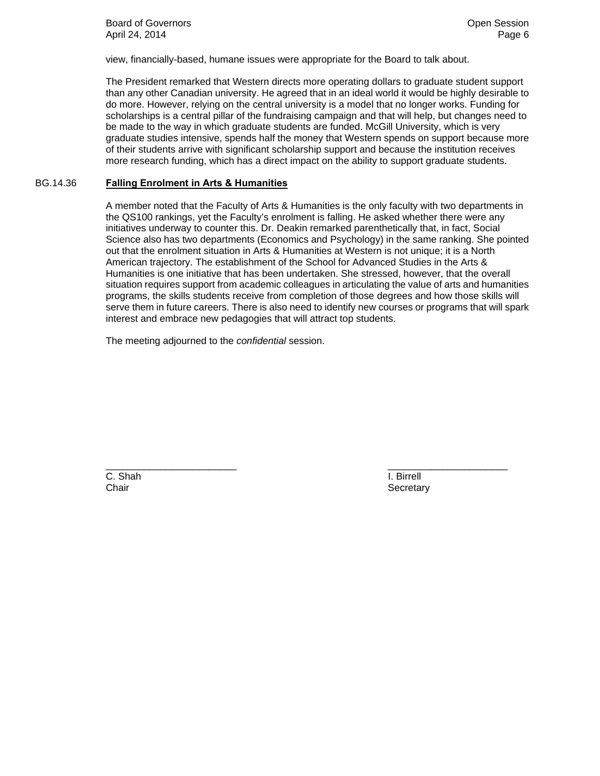**Board of Governors Contract Contract Contract Contract Contract Contract Contract Contract Contract Contract Contract Contract Contract Contract Contract Contract Contract Contract Contract Contract Contract Contract Co** April 24, 2014 Page 6

view, financially-based, humane issues were appropriate for the Board to talk about.

The President remarked that Western directs more operating dollars to graduate student support than any other Canadian university. He agreed that in an ideal world it would be highly desirable to do more. However, relying on the central university is a model that no longer works. Funding for scholarships is a central pillar of the fundraising campaign and that will help, but changes need to be made to the way in which graduate students are funded. McGill University, which is very graduate studies intensive, spends half the money that Western spends on support because more of their students arrive with significant scholarship support and because the institution receives more research funding, which has a direct impact on the ability to support graduate students.

## BG.14.36 **Falling Enrolment in Arts & Humanities**

A member noted that the Faculty of Arts & Humanities is the only faculty with two departments in the QS100 rankings, yet the Faculty's enrolment is falling. He asked whether there were any initiatives underway to counter this. Dr. Deakin remarked parenthetically that, in fact, Social Science also has two departments (Economics and Psychology) in the same ranking. She pointed out that the enrolment situation in Arts & Humanities at Western is not unique; it is a North American trajectory. The establishment of the School for Advanced Studies in the Arts & Humanities is one initiative that has been undertaken. She stressed, however, that the overall situation requires support from academic colleagues in articulating the value of arts and humanities programs, the skills students receive from completion of those degrees and how those skills will serve them in future careers. There is also need to identify new courses or programs that will spark interest and embrace new pedagogies that will attract top students.

\_\_\_\_\_\_\_\_\_\_\_\_\_\_\_\_\_\_\_\_\_\_\_\_ \_\_\_\_\_\_\_\_\_\_\_\_\_\_\_\_\_\_\_\_\_\_

The meeting adjourned to the *confidential* session.

C. Shah I. Birrell Chair Secretary Chair Secretary Secretary Secretary Secretary Secretary Secretary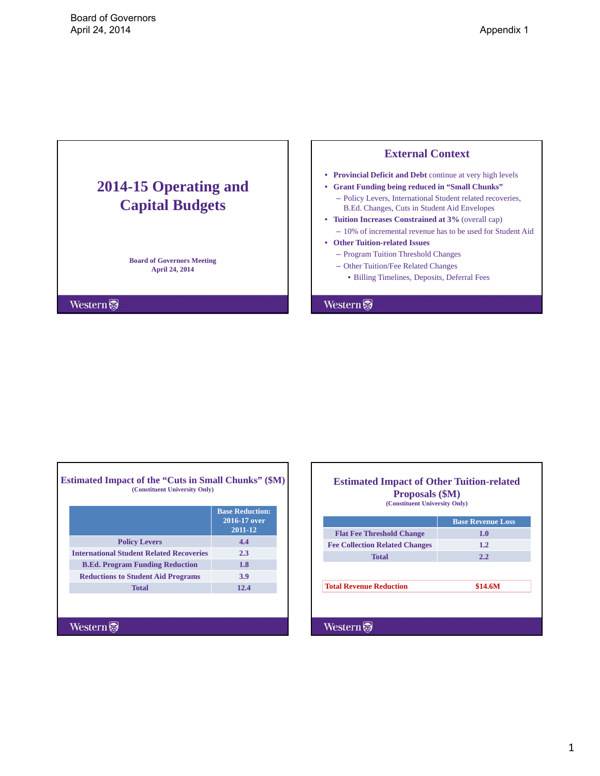# <span id="page-6-0"></span>**2014-15 Operating and Capital Budgets**

**Board of Governors Meeting April 24, 2014**

**Western** 

Г

## **External Context**

- **Provincial Deficit and Debt** continue at very high levels
- **Grant Funding being reduced in "Small Chunks"**
	- Policy Levers, International Student related recoveries, B.Ed. Changes, Cuts in Student Aid Envelopes
- **Tuition Increases Constrained at 3%** (overall cap)
	- 10% of incremental revenue has to be used for Student Aid
- **Other Tuition-related Issues**
	- Program Tuition Threshold Changes
	- Other Tuition/Fee Related Changes
		- Billing Timelines, Deposits, Deferral Fees

**Western** 

٦

Е

| <b>Estimated Impact of the "Cuts in Small Chunks" (\$M)</b><br>(Constituent University Only) |                                                   |  |
|----------------------------------------------------------------------------------------------|---------------------------------------------------|--|
|                                                                                              | <b>Base Reduction:</b><br>2016-17 over<br>2011-12 |  |
| <b>Policy Levers</b>                                                                         | 4.4                                               |  |
| <b>International Student Related Recoveries</b>                                              | 2.3                                               |  |
| <b>B.Ed. Program Funding Reduction</b>                                                       | 1.8                                               |  |
| <b>Reductions to Student Aid Programs</b>                                                    | <b>3.9</b>                                        |  |
| <b>Total</b>                                                                                 | 12.4                                              |  |
|                                                                                              |                                                   |  |
| Western                                                                                      |                                                   |  |

|                                       | <b>Base Revenue Loss</b> |
|---------------------------------------|--------------------------|
| <b>Flat Fee Threshold Change</b>      | 1.0                      |
| <b>Fee Collection Related Changes</b> | 1.2                      |
| <b>Total</b>                          | 2.2                      |
|                                       |                          |
| <b>Total Revenue Reduction</b>        | \$14.6M                  |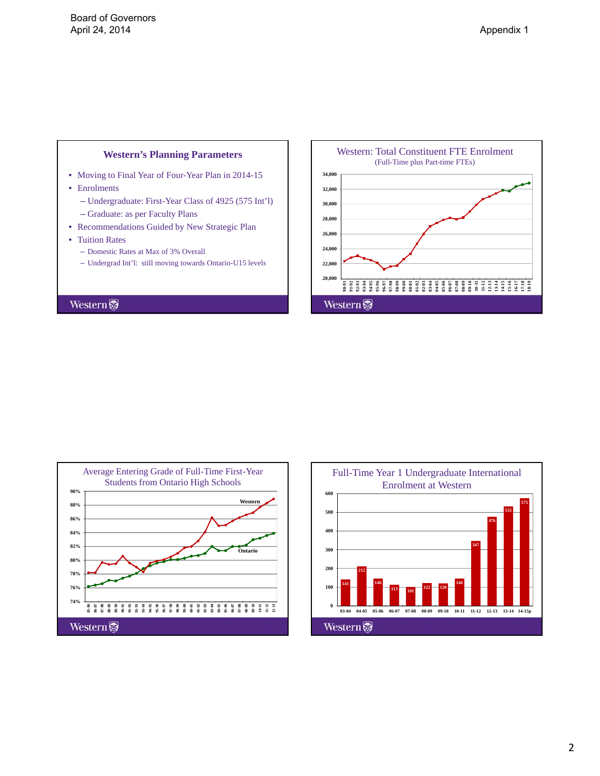## **Western's Planning Parameters**

- Moving to Final Year of Four-Year Plan in 2014-15
- Enrolments
	- Undergraduate: First-Year Class of 4925 (575 Int'l)
	- Graduate: as per Faculty Plans
- Recommendations Guided by New Strategic Plan
- Tuition Rates
	- Domestic Rates at Max of 3% Overall
	- Undergrad Int'l: still moving towards Ontario-U15 levels





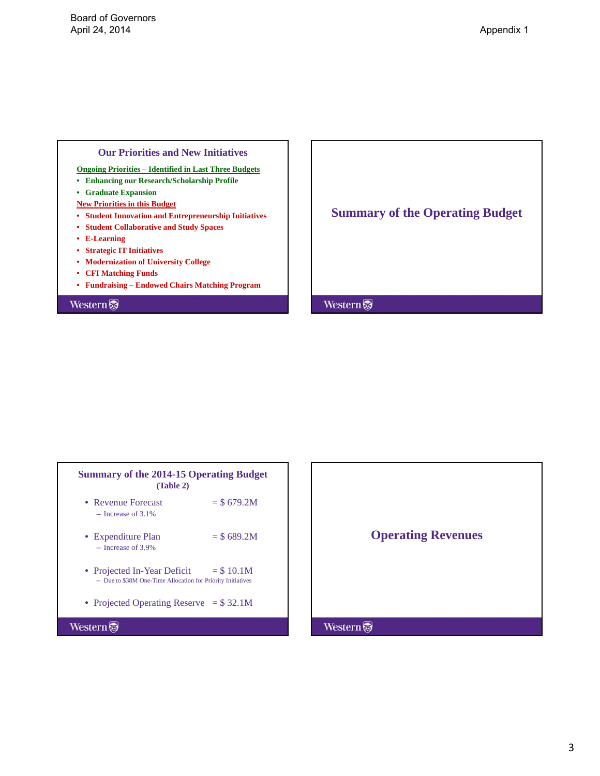## **Our Priorities and New Initiatives**

**Ongoing Priorities – Identified in Last Three Budgets**

- **Enhancing our Research/Scholarship Profile**
- **Graduate Expansion**
- **New Priorities in this Budget**
- **Student Innovation and Entrepreneurship Initiatives**
- **• Student Collaborative and Study Spaces**
- **E-Learning**
- **Strategic IT Initiatives**
- **Modernization of University College**
- **CFI Matching Funds**
- **Fundraising Endowed Chairs Matching Program**

## **Western**

**Summary of the Operating Budget**

| <b>Summary of the 2014-15 Operating Budget</b><br>(Table 2)                                |              |
|--------------------------------------------------------------------------------------------|--------------|
| • Revenue Forecast<br>$-$ Increase of 3.1%                                                 | $=$ \$679.2M |
| • Expenditure Plan<br>$-$ Increase of 3.9%                                                 | $=$ \$689.2M |
| • Projected In-Year Deficit<br>- Due to \$38M One-Time Allocation for Priority Initiatives | $=$ \$ 10.1M |
| • Projected Operating Reserve $= $32.1M$                                                   |              |
| Westerr                                                                                    |              |

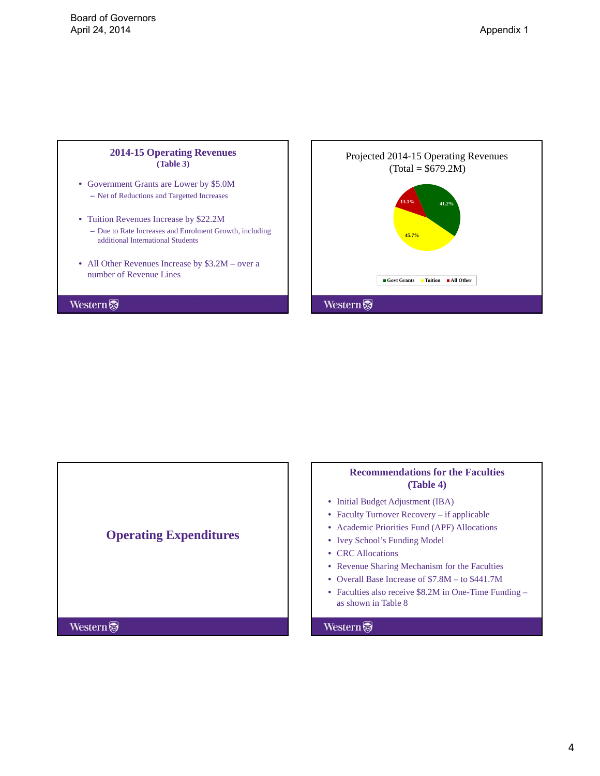

- Government Grants are Lower by \$5.0M – Net of Reductions and Targetted Increases
- Tuition Revenues Increase by \$22.2M
	- Due to Rate Increases and Enrolment Growth, including additional International Students
- All Other Revenues Increase by \$3.2M over a number of Revenue Lines

Western





## **Recommendations for the Faculties (Table 4)**

- Initial Budget Adjustment (IBA)
- Faculty Turnover Recovery if applicable
- Academic Priorities Fund (APF) Allocations
- Ivey School's Funding Model
- CRC Allocations
- Revenue Sharing Mechanism for the Faculties
- Overall Base Increase of \$7.8M to \$441.7M
- Faculties also receive \$8.2M in One-Time Funding as shown in Table 8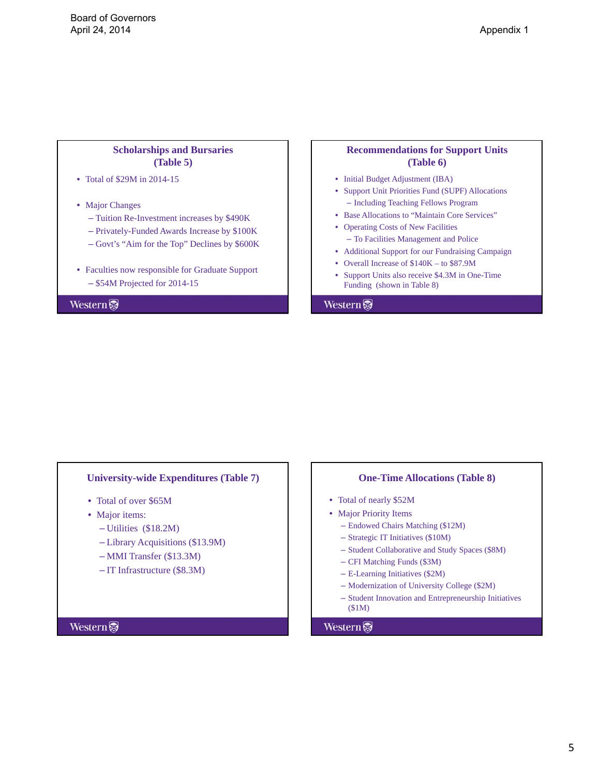## **Scholarships and Bursaries (Table 5)**

- Total of \$29M in 2014-15
- Major Changes
	- Tuition Re-Investment increases by \$490K
	- Privately-Funded Awards Increase by \$100K
	- Govt's "Aim for the Top" Declines by \$600K
- Faculties now responsible for Graduate Support – \$54M Projected for 2014-15

Western

## **Recommendations for Support Units (Table 6)**

- Initial Budget Adjustment (IBA)
- Support Unit Priorities Fund (SUPF) Allocations – Including Teaching Fellows Program
- Base Allocations to "Maintain Core Services"
- Operating Costs of New Facilities – To Facilities Management and Police
- Additional Support for our Fundraising Campaign
- Overall Increase of \$140K to \$87.9M
- Support Units also receive \$4.3M in One-Time Funding (shown in Table 8)

### Western

### **University-wide Expenditures (Table 7)**

- Total of over \$65M
- Major items:
	- Utilities (\$18.2M)
	- Library Acquisitions (\$13.9M)
	- MMI Transfer (\$13.3M)
	- IT Infrastructure (\$8.3M)

# **One-Time Allocations (Table 8)**

- Total of nearly \$52M
- Major Priority Items
	- Endowed Chairs Matching (\$12M)
	- Strategic IT Initiatives (\$10M)
	- Student Collaborative and Study Spaces (\$8M)
	- CFI Matching Funds (\$3M)
	- E-Learning Initiatives (\$2M)
	- Modernization of University College (\$2M)
	- Student Innovation and Entrepreneurship Initiatives (\$1M)

## Western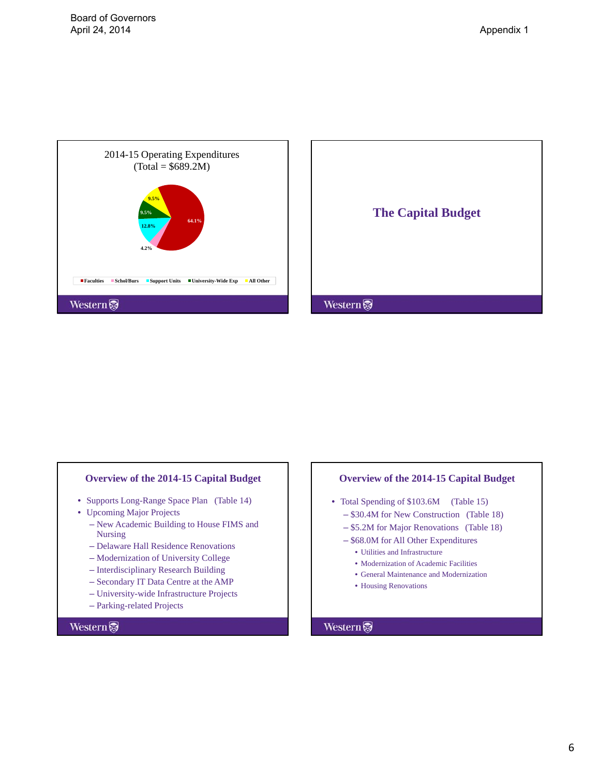



## **Overview of the 2014-15 Capital Budget**

- Supports Long-Range Space Plan (Table 14)
- Upcoming Major Projects
	- New Academic Building to House FIMS and Nursing
	- Delaware Hall Residence Renovations
	- Modernization of University College
	- Interdisciplinary Research Building
	- Secondary IT Data Centre at the AMP
	- University-wide Infrastructure Projects
	- Parking-related Projects

## **Western**

### **Overview of the 2014-15 Capital Budget**

- Total Spending of \$103.6M (Table 15) – \$30.4M for New Construction (Table 18)
	- \$5.2M for Major Renovations (Table 18)
	- \$68.0M for All Other Expenditures
		- Utilities and Infrastructure
		- Modernization of Academic Facilities
		- General Maintenance and Modernization
		- Housing Renovations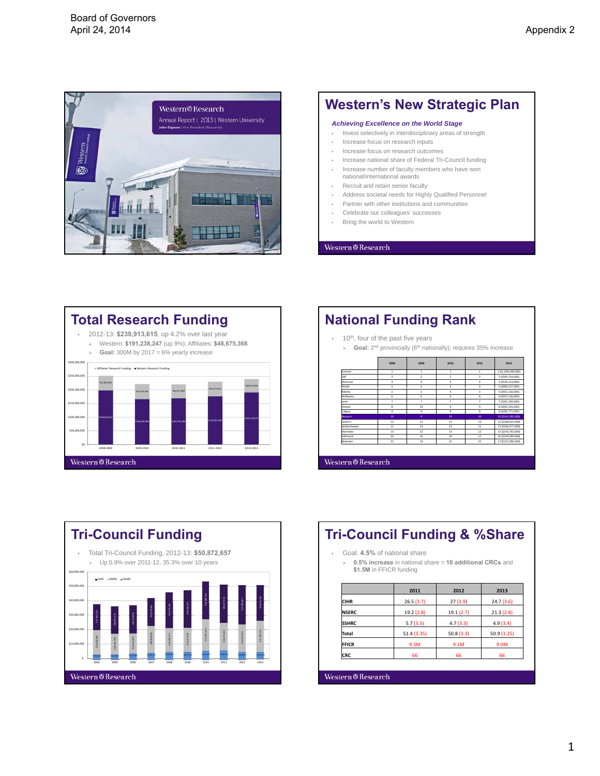<span id="page-12-0"></span>

## **Western's New Strategic Plan**

#### *Achieving Excellence on the World Stage*

- Invest selectively in interdisciplinary areas of strength
- Increase focus on research inputs
- Increase focus on research outcomes
- Increase national share of Federal Tri-Council funding
- Increase number of faculty members who have won national/international awards
- Recruit and retain senior faculty
- Address societal needs for Highly Qualified Personnel
- Partner with other institutions and communities
- Celebrate our colleagues' successes
- Bring the world to Western

#### Western  $\overline{\otimes}$  Research



|                | 10 <sup>th</sup> , four of the past five years                                         |                         |                |                |                     |
|----------------|----------------------------------------------------------------------------------------|-------------------------|----------------|----------------|---------------------|
| $\geq$         | Goal: 2 <sup>nd</sup> provincially (6 <sup>th</sup> nationally); requires 35% increase |                         |                |                |                     |
|                |                                                                                        |                         |                |                |                     |
|                | 2008                                                                                   | 2009                    | 2010           | 2011           | 2012                |
| Toronto        | $\mathbf{1}$                                                                           | л.                      | ٠.             | л.             | 1 (\$1.038.390.000) |
| <b>UBC</b>     | $\overline{\mathbf{3}}$                                                                | $\overline{2}$          | $\overline{ }$ | $\overline{2}$ | 2 (\$585.154.000)   |
| Montreal       | 4                                                                                      | 4                       | 3              | 4              | 3 (\$526,213,000)   |
| McGill         | c.                                                                                     | c.                      | c.             | ċ.             | 4 (\$483,527,000)   |
| <b>Alberta</b> | $\overline{2}$                                                                         | $\overline{\mathbf{3}}$ | ă.             | 3              | 5 (\$452.156.000)   |
| McMaster       | 6                                                                                      | 6                       | 6              | 6              | 6 (\$325,156,000)   |
| laval          | $\overline{ }$                                                                         | $\overline{z}$          | z.             | $\overline{z}$ | 7 (\$302.783.000)   |
| Ottawa         | 8                                                                                      | 10                      | 9              | 9              | 8 (\$302,341,000)   |
| Calgary        | $\overline{a}$                                                                         | $\mathbf{R}$            | $\mathbf{R}$   | $\mathbf{R}$   | 9 (\$282,771,000)   |
| <b>Western</b> | 10                                                                                     | $\mathbf{Q}$            | 10             | 10             | 10 (\$241.095.000)  |
| Oueen's        | 12                                                                                     | 11                      | 11             | 13             | 12 (\$168.025.000)  |
| Caskatchewan   | 11                                                                                     | 13                      | 12             | 11             | 13 (\$166.677.000)  |
| Manitoha       | 13                                                                                     | 12                      | 13             | 12             | 15 (\$159,763,000)  |
| Dalbousie      | 16                                                                                     | 16                      | 16             | 17             | 16 (\$140,099,000)  |
| Waterloo       | 15                                                                                     | 14                      | 15             | 15             | 17 (\$137,006,000)  |



## **Tri-Council Funding & %Share** • Goal: **4.5%** of national share **0.5% increase** in national share = **10 additional CRCs** and \$1.5M in FFICR funding **2011 2012 2013 CIHR** 26.5 (3.7) 27 (3.9) 24.7 (3.6) **NSERC** 19.2 (2.8) 19.1 (2.7) 21.3 (2.8) **SSHRC** 5.7 (3.5) 4.7 (3.3) 4.9 (3.4) **Total** 51.4 (3.35) 50.8 (3.3) 50.9 (3.25) **FFICR** 9.3M 9.1M 9.0M **CRC** 66 66 66 Western@Research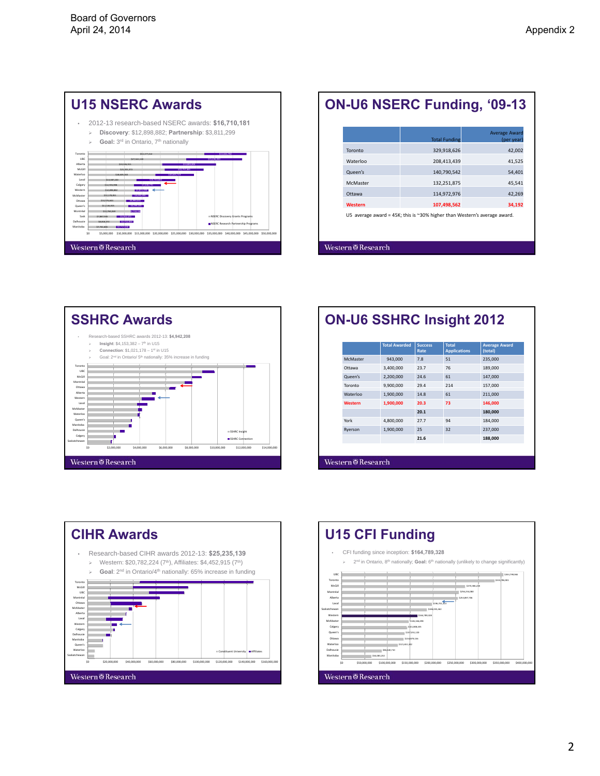| <b>U15 NSERC Awards</b>                                                                                                                                                                                                                                                                                                                                                                                                                                                                                                                                             |
|---------------------------------------------------------------------------------------------------------------------------------------------------------------------------------------------------------------------------------------------------------------------------------------------------------------------------------------------------------------------------------------------------------------------------------------------------------------------------------------------------------------------------------------------------------------------|
| 2012-13 research-based NSERC awards: \$16,710,181<br>۰<br>Discovery: \$12,898,882; Partnership: \$3,811,299<br>Goal: 3rd in Ontario, 7th nationally<br>$\geqslant$                                                                                                                                                                                                                                                                                                                                                                                                  |
| \$32,177,412<br>\$11,641,750<br>Toronto<br>LIBC<br>527161118<br><b>PAR ASS ASS</b><br>Alberta<br>520 505 915<br>514 885,801<br>McGill<br>521 201.373<br>0.757.46<br>Waterloo<br>518 609 240<br>Layal<br>\$13,387,220<br>510.743.681<br>Calgary<br>\$12,705,008<br>Western<br>53811.202<br>\$12,958,887<br>McMaster<br>512 178 851<br>54,402,930<br>Ottawa<br>\$10,576,644<br><b>Salesmina</b><br>Cueen's<br>511 135 975<br>54.299.245<br>Montréal<br>511 760 260<br>52.218.18<br>II NSERC Discovery Grants Programs<br><b>Sack</b><br><b>SUBSTATE</b><br>57.887.945 |
| Dalbousie<br><b>CERTS 377</b><br>53 757 850 1<br>NSERC Research Partnership Programs<br>Manitoha<br>\$7,761,646<br>53,717,638<br>S0<br>\$10,000,000 \$15,000,000 \$20,000,000 \$25,000,000 \$30,000,000 \$35,000,000 \$40,000,000 \$45,000,000<br>\$5,000,000<br>\$50,000,000                                                                                                                                                                                                                                                                                       |
| Western <sup>®</sup> Research                                                                                                                                                                                                                                                                                                                                                                                                                                                                                                                                       |

|                 | <b>Total Funding</b> | <b>Average Award</b><br>(per year) |
|-----------------|----------------------|------------------------------------|
| Toronto         | 329,918,626          | 42,002                             |
| Waterloo        | 208,413,439          | 41,525                             |
| Queen's         | 140,790,542          | 54,401                             |
| <b>McMaster</b> | 132,251,875          | 45,541                             |
| Ottawa          | 114,972,976          | 42,269                             |
| <b>Western</b>  | 107,498,562          | 34,192                             |



|  | <b>ON-U6 SSHRC Insight 2012</b> |  |  |
|--|---------------------------------|--|--|
|--|---------------------------------|--|--|

|                 | <b>Total Awarded</b> | <b>Success</b><br>Rate | <b>Total</b><br><b>Applications</b> | <b>Average Award</b><br>(total) |
|-----------------|----------------------|------------------------|-------------------------------------|---------------------------------|
| <b>McMaster</b> | 943.000              | 7.8                    | 51                                  | 235,000                         |
| Ottawa          | 3.400.000            | 23.7                   | 76                                  | 189,000                         |
| Queen's         | 2,200,000            | 24.6                   | 61                                  | 147,000                         |
| Toronto         | 9.900.000            | 29.4                   | 214                                 | 157.000                         |
| Waterloo        | 1,900,000            | 14.8                   | 61                                  | 211,000                         |
| Western         | 1,900,000            | 20.3                   | 73                                  | 146,000                         |
|                 |                      | 20.1                   |                                     | 180,000                         |
| York            | 4,800,000            | 27.7                   | 94                                  | 184,000                         |
| Ryerson         | 1,900,000            | 25                     | 32                                  | 237,000                         |
|                 |                      | 21.6                   |                                     | 188,000                         |
|                 |                      |                        |                                     |                                 |



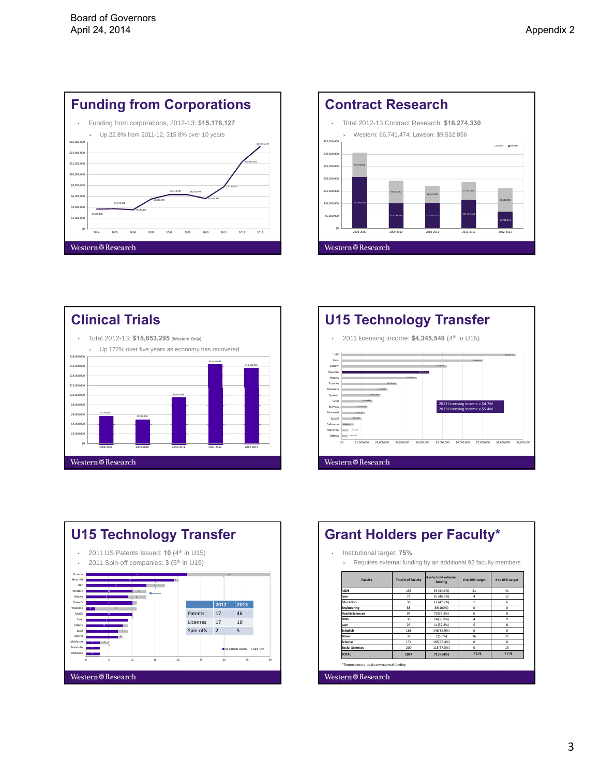









| Institutional target: 75% |                                                               |                                |                 |                    |
|---------------------------|---------------------------------------------------------------|--------------------------------|-----------------|--------------------|
| $\geqslant$               | Requires external funding by an additional 92 faculty members |                                |                 |                    |
| <b>Faculty</b>            | <b>Total # of Faculty</b>                                     | # who hold external<br>funding | # to 50% target | # to 65% target    |
| <b>A&amp;H</b>            | 133                                                           | 46 (34.6%)                     | 21              | 41                 |
| Ivev                      | 77                                                            | 35 (45.5%)                     | 4               | 15                 |
| <b>Education</b>          | 36                                                            | 17 (47.2%)                     | 1               | 6                  |
| Engineering               | 88                                                            | 88(100%)                       | Ò               | $\Omega$           |
| <b>Health Sciences</b>    | 97                                                            | 73(75.3%)                      | $\Omega$        | $\Omega$           |
| <b>FIMS</b>               | 36                                                            | 14(38.8%)                      | 4               | $\mathbf{Q}$       |
| Law                       | 29                                                            | 11(37.8%)                      | 5               | $\mathbf{\hat{z}}$ |
| Schulich                  | 168                                                           | 146(86.9%)                     | n               | $\Omega$           |
| Music                     | 36                                                            | 2(5.6%)                        | 16              | 21                 |
| Science                   | 174                                                           | 166(95.4%)                     | Ò               | $\alpha$           |
| <b>Social Sciences</b>    | 200                                                           | 115(57.5%)                     | $\Omega$        | 15                 |
| <b>TOTAL</b>              | 1074                                                          | 713 (64%)                      | 71%             | 77%                |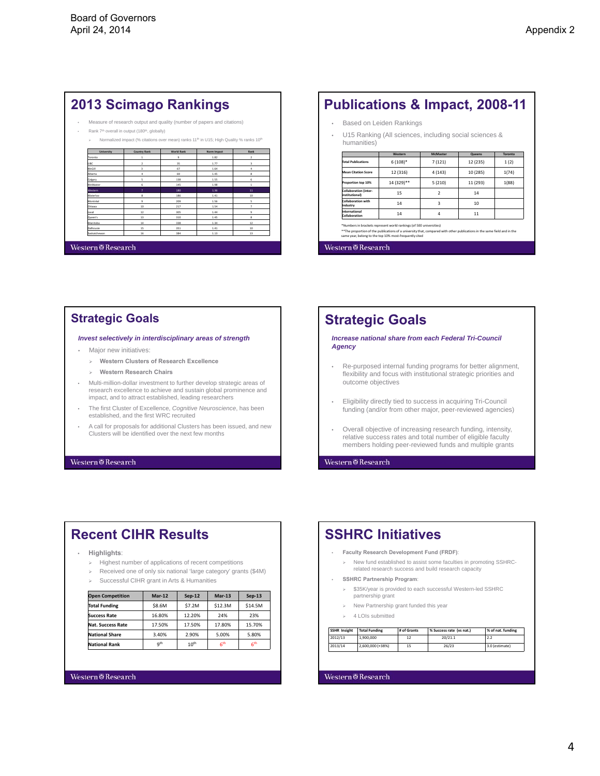## **2013 Scimago Rankings**

- Measure of research output and quality (number of papers and citations)
- Rank 7<sup>th</sup> overall in output (180<sup>th</sup>, globally) imalized impact (% citations over mean) ranks 11<sup>th</sup> in U15; High Quality % ranks 10<sup>th</sup>

| University   | <b>Country Rank</b>     | <b>World Rank</b> | Norm Impact | Rank                    |
|--------------|-------------------------|-------------------|-------------|-------------------------|
| Toronto      | 1                       | 9                 | 1.82        | $\overline{2}$          |
| UBC          | $\overline{2}$          | 35                | 1.77        | $\overline{\mathbf{3}}$ |
| McGill       | $\overline{\mathbf{3}}$ | 67                | 1.64        | 4                       |
| Alberta      | 4                       | 69                | 1.45        | 8                       |
| Calgary      | 5                       | 138               | 1.55        | 6                       |
| McMaster     | 6                       | 145               | 1.98        | ٠                       |
| Western      | $\overline{z}$          | 180               | 1.36        | 11                      |
| Waterloo     | 8                       | 186               | 1.41        | 10                      |
| Montréal     | 9                       | 209               | 1.56        | 5                       |
| Ottawa       | 10                      | 217               | 1.54        | $\overline{z}$          |
| Laval        | 12                      | 305               | 1.44        | 9                       |
| Queen's      | 13                      | 310               | 1.45        | 8                       |
| Manitoba     | 14                      | 338               | 1.34        | 12                      |
| Dalhousie    | 15                      | 351               | 1.41        | 10                      |
| Saskatchewan | 16                      | 384               | 1.13        | 13                      |

### Western@Research

## **Publications & Impact, 2008-11**

- Based on Leiden Rankings
- U15 Ranking (All sciences, including social sciences & humanities)

|                                                       | Western    | <b>McMaster</b>          | <b>Queens</b> | <b>Toronto</b> |
|-------------------------------------------------------|------------|--------------------------|---------------|----------------|
| <b>Total Publications</b>                             | $6(108)*$  | 7(121)                   | 12 (235)      | 1(2)           |
| <b>Mean Citation Score</b>                            | 12 (316)   | 4(143)                   | 10 (285)      | 1(74)          |
| Proportion top 10%                                    | 14 (329)** | 5(210)                   | 11 (293)      | 1(88)          |
| <b>Collaboration (inter-</b><br><i>institutional)</i> | 15         | $\overline{\phantom{a}}$ | 14            |                |
| Collaboration with<br>Industry                        | 14         | 3                        | 10            |                |
| International<br>Collaboration                        | 14         | 4                        | 11            |                |

\*\*The proportion of the publications of a university that, compared with other publicationsin the same field and in the same year, belong to the top 10% most‐frequently cited

Western@Research

## **Strategic Goals**

#### *Invest selectively in interdisciplinary areas of strength*

- Major new initiatives:
	- **Western Clusters of Research Excellence**
	- **Western Research Chairs**
- Multi-million-dollar investment to further develop strategic areas of research excellence to achieve and sustain global prominence and impact, and to attract established, leading researchers
- The first Cluster of Excellence, *Cognitive Neuroscience*, has been established, and the first WRC recruited
- A call for proposals for additional Clusters has been issued, and new Clusters will be identified over the next few months

#### Western<sup>®</sup>Research

## **Strategic Goals**

*Increase national share from each Federal Tri-Council Agency*

- Re-purposed internal funding programs for better alignment, flexibility and focus with institutional strategic priorities and outcome objectives
- Eligibility directly tied to success in acquiring Tri-Council funding (and/or from other major, peer-reviewed agencies)
- Overall objective of increasing research funding, intensity, relative success rates and total number of eligible faculty members holding peer-reviewed funds and multiple grants

Western<sup>®</sup>Research

## **Recent CIHR Results**

#### • **Highlights**:

- > Highest number of applications of recent competitions
- Received one of only six national 'large category' grants (\$4M)
- Successful CIHR grant in Arts & Humanities

| <b>Open Competition</b>  | <b>Mar-12</b>   | Sep-12           | $Mar-13$        | $Sep-13$        |
|--------------------------|-----------------|------------------|-----------------|-----------------|
| <b>Total Funding</b>     | \$8.6M          | \$7.2M           | \$12.3M         | \$14.5M         |
| <b>Success Rate</b>      | 16.80%          | 12.20%           | 24%             | 23%             |
| <b>Nat. Success Rate</b> | 17.50%          | 17.50%           | 17.80%          | 15.70%          |
| <b>National Share</b>    | 3.40%           | 2.90%            | 5.00%           | 5.80%           |
| <b>National Rank</b>     | q <sup>th</sup> | 10 <sup>th</sup> | 6 <sup>th</sup> | 6 <sup>th</sup> |

#### **Western@Research**

## **SSHRC Initiatives**

#### • **Faculty Research Development Fund (FRDF)**:

 $\triangleright$  New fund established to assist some faculties in promoting SSHRCrelated research success and build research capacity

#### • **SSHRC Partnership Program**:

- $\geq$  \$35K/year is provided to each successful Western-led SSHRC partnership grant
- $\triangleright$  New Partnership grant funded this year
- $\triangleright$  4 LOIs submitted

| <b>SSHR Insight</b> | <b>Total Funding</b> | # of Grants | % Success rate (vs nat.) | % of nat. funding |
|---------------------|----------------------|-------------|--------------------------|-------------------|
| 2012/13             | 1,900,000            | 12          | 20/21.1                  | 2.2               |
| 2013/14             | 2.600.000 (+38%)     | 15          | 26/23                    | 3.0 (estimate)    |

#### **Western@Research**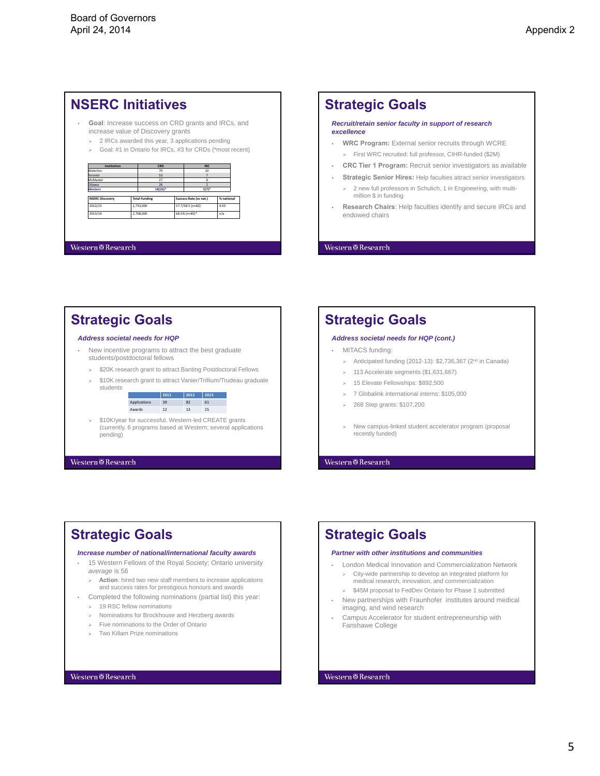## **NSERC Initiatives**

- **Goal**: Increase success on CRD grants and IRCs, and increase value of Discovery grants
	- $\geq$  2 IRCs awarded this year, 3 applications pending
	- Goal: #1 in Ontario for IRCs, #3 for CRDs (\*most recent)

| Institution            |  | CRD                  |  | <b>IRC</b>             |            |
|------------------------|--|----------------------|--|------------------------|------------|
| Waterloo               |  | 70                   |  | 10                     |            |
| Toronto                |  | 53                   |  |                        |            |
| McMaster               |  | 27                   |  | 6                      |            |
| Ottawa                 |  | 26                   |  |                        |            |
| Western                |  | 18(26)*              |  | $5(7)$ <sup>+</sup>    |            |
| <b>NSERC Discovery</b> |  | <b>Total Funding</b> |  | Success Rate (vs nat.) | % national |
| 2012/13                |  | 2.733.000            |  | 57.7/58.5 (n=82)       | 4.03       |
| 2013/14                |  | 2,708,000            |  | 68.5% (n=85)*          | n/a        |

#### Western@Research

## **Strategic Goals** *Recruit/retain senior faculty in support of research excellence* • **WRC Program:** External senior recruits through WCRE

- First WRC recruited: full professor, CIHR-funded (\$2M)
- **CRC Tier 1 Program:** Recruit senior investigators as available
- **Strategic Senior Hires:** Help faculties attract senior investigators 2 new full professors in Schulich, 1 in Engineering, with multimillion \$ in funding
- **Research Chairs**: Help faculties identify and secure IRCs and endowed chairs

### $We term \overline{\otimes}$  Research

## **Strategic Goals**

#### *Address societal needs for HQP*

- New incentive programs to attract the best graduate students/postdoctoral fellows
- > \$20K research grant to attract Banting Postdoctoral Fellows
- $\geq$  \$10K research grant to attract Vanier/Trillium/Trudeau graduate students



Western<sup>®</sup>Research

## **Strategic Goals**

#### *Address societal needs for HQP (cont.)*

- MITACS funding:
	- > Anticipated funding (2012-13):  $$2,736,367$  (2<sup>nd</sup> in Canada)
	- 113 Accelerate segments (\$1,631,667)
	- 15 Elevate Fellowships: \$892,500
	- > 7 Globalink international interns: \$105,000
	- 268 Step grants: \$107,200
	- > New campus-linked student accelerator program (proposal recently funded)

**Western@Research** 

## **Strategic Goals**

#### *Increase number of national/international faculty awards*

- 15 Western Fellows of the Royal Society; Ontario university *average* is 56
- **Action**: hired two new staff members to increase applications and success rates for prestigious honours and awards
- Completed the following nominations (partial list) this year:  $\geq$  19 RSC fellow nominations
	- Nominations for Brockhouse and Herzberg awards
	- Five nominations to the Order of Ontario
	- Two Killam Prize nominations

#### **Western@Research**

## **Strategic Goals**

#### *Partner with other institutions and communities*

- London Medical Innovation and Commercialization Network City-wide partnership to develop an integrated platform for medical research, innovation, and commercialization
	- $\geq$  \$45M proposal to FedDev Ontario for Phase 1 submitted
- New partnerships with Fraunhofer institutes around medical imaging, and wind research
- Campus Accelerator for student entrepreneurship with Fanshawe College

#### **Western@Research**

## 5